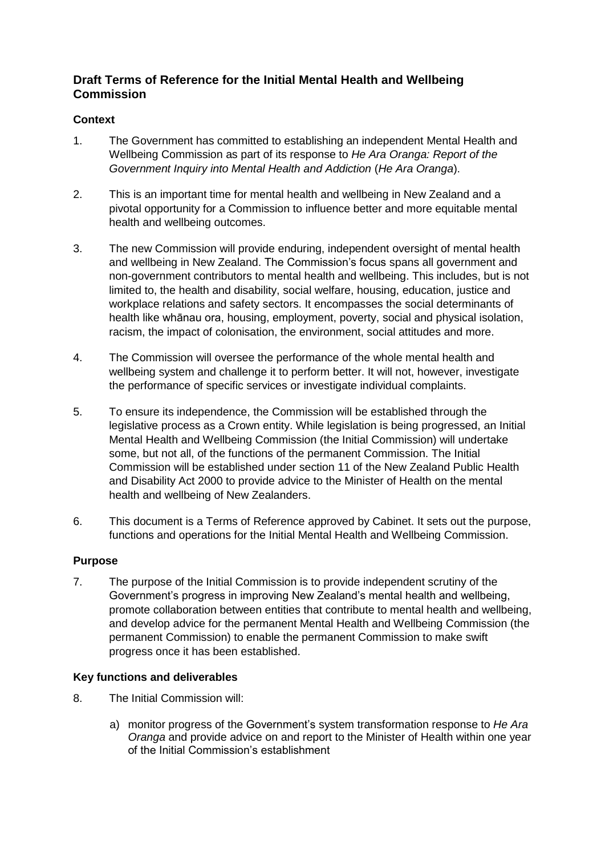# **Draft Terms of Reference for the Initial Mental Health and Wellbeing Commission**

# **Context**

- 1. The Government has committed to establishing an independent Mental Health and Wellbeing Commission as part of its response to *He Ara Oranga: Report of the Government Inquiry into Mental Health and Addiction* (*He Ara Oranga*).
- 2. This is an important time for mental health and wellbeing in New Zealand and a pivotal opportunity for a Commission to influence better and more equitable mental health and wellbeing outcomes.
- 3. The new Commission will provide enduring, independent oversight of mental health and wellbeing in New Zealand. The Commission's focus spans all government and non-government contributors to mental health and wellbeing. This includes, but is not limited to, the health and disability, social welfare, housing, education, justice and workplace relations and safety sectors. It encompasses the social determinants of health like whānau ora, housing, employment, poverty, social and physical isolation, racism, the impact of colonisation, the environment, social attitudes and more.
- 4. The Commission will oversee the performance of the whole mental health and wellbeing system and challenge it to perform better. It will not, however, investigate the performance of specific services or investigate individual complaints.
- 5. To ensure its independence, the Commission will be established through the legislative process as a Crown entity. While legislation is being progressed, an Initial Mental Health and Wellbeing Commission (the Initial Commission) will undertake some, but not all, of the functions of the permanent Commission. The Initial Commission will be established under section 11 of the New Zealand Public Health and Disability Act 2000 to provide advice to the Minister of Health on the mental health and wellbeing of New Zealanders.
- 6. This document is a Terms of Reference approved by Cabinet. It sets out the purpose, functions and operations for the Initial Mental Health and Wellbeing Commission.

# **Purpose**

7. The purpose of the Initial Commission is to provide independent scrutiny of the Government's progress in improving New Zealand's mental health and wellbeing, promote collaboration between entities that contribute to mental health and wellbeing, and develop advice for the permanent Mental Health and Wellbeing Commission (the permanent Commission) to enable the permanent Commission to make swift progress once it has been established.

# **Key functions and deliverables**

- 8. The Initial Commission will:
	- a) monitor progress of the Government's system transformation response to *He Ara Oranga* and provide advice on and report to the Minister of Health within one year of the Initial Commission's establishment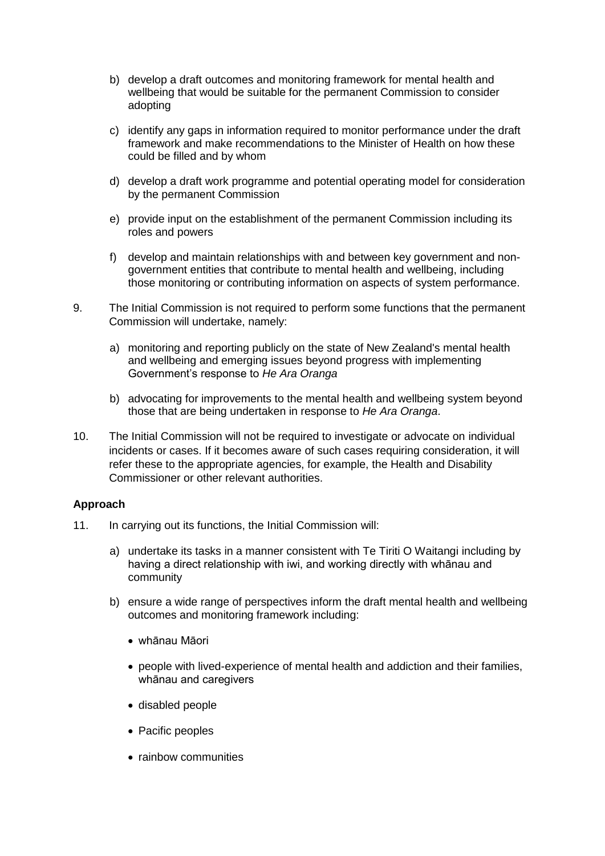- b) develop a draft outcomes and monitoring framework for mental health and wellbeing that would be suitable for the permanent Commission to consider adopting
- c) identify any gaps in information required to monitor performance under the draft framework and make recommendations to the Minister of Health on how these could be filled and by whom
- d) develop a draft work programme and potential operating model for consideration by the permanent Commission
- e) provide input on the establishment of the permanent Commission including its roles and powers
- f) develop and maintain relationships with and between key government and nongovernment entities that contribute to mental health and wellbeing, including those monitoring or contributing information on aspects of system performance.
- 9. The Initial Commission is not required to perform some functions that the permanent Commission will undertake, namely:
	- a) monitoring and reporting publicly on the state of New Zealand's mental health and wellbeing and emerging issues beyond progress with implementing Government's response to *He Ara Oranga*
	- b) advocating for improvements to the mental health and wellbeing system beyond those that are being undertaken in response to *He Ara Oranga*.
- 10. The Initial Commission will not be required to investigate or advocate on individual incidents or cases. If it becomes aware of such cases requiring consideration, it will refer these to the appropriate agencies, for example, the Health and Disability Commissioner or other relevant authorities.

# **Approach**

- 11. In carrying out its functions, the Initial Commission will:
	- a) undertake its tasks in a manner consistent with Te Tiriti O Waitangi including by having a direct relationship with iwi, and working directly with whānau and community
	- b) ensure a wide range of perspectives inform the draft mental health and wellbeing outcomes and monitoring framework including:
		- whānau Māori
		- people with lived-experience of mental health and addiction and their families, whānau and caregivers
		- disabled people
		- Pacific peoples
		- rainbow communities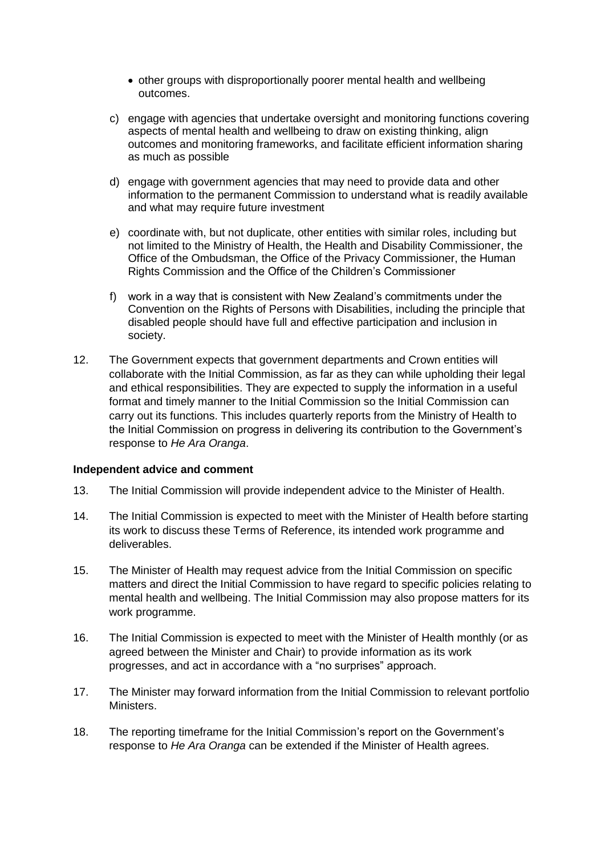- other groups with disproportionally poorer mental health and wellbeing outcomes.
- c) engage with agencies that undertake oversight and monitoring functions covering aspects of mental health and wellbeing to draw on existing thinking, align outcomes and monitoring frameworks, and facilitate efficient information sharing as much as possible
- d) engage with government agencies that may need to provide data and other information to the permanent Commission to understand what is readily available and what may require future investment
- e) coordinate with, but not duplicate, other entities with similar roles, including but not limited to the Ministry of Health, the Health and Disability Commissioner, the Office of the Ombudsman, the Office of the Privacy Commissioner, the Human Rights Commission and the Office of the Children's Commissioner
- f) work in a way that is consistent with New Zealand's commitments under the Convention on the Rights of Persons with Disabilities, including the principle that disabled people should have full and effective participation and inclusion in society.
- 12. The Government expects that government departments and Crown entities will collaborate with the Initial Commission, as far as they can while upholding their legal and ethical responsibilities. They are expected to supply the information in a useful format and timely manner to the Initial Commission so the Initial Commission can carry out its functions. This includes quarterly reports from the Ministry of Health to the Initial Commission on progress in delivering its contribution to the Government's response to *He Ara Oranga*.

#### **Independent advice and comment**

- 13. The Initial Commission will provide independent advice to the Minister of Health.
- 14. The Initial Commission is expected to meet with the Minister of Health before starting its work to discuss these Terms of Reference, its intended work programme and deliverables.
- 15. The Minister of Health may request advice from the Initial Commission on specific matters and direct the Initial Commission to have regard to specific policies relating to mental health and wellbeing. The Initial Commission may also propose matters for its work programme.
- 16. The Initial Commission is expected to meet with the Minister of Health monthly (or as agreed between the Minister and Chair) to provide information as its work progresses, and act in accordance with a "no surprises" approach.
- 17. The Minister may forward information from the Initial Commission to relevant portfolio Ministers.
- 18. The reporting timeframe for the Initial Commission's report on the Government's response to *He Ara Oranga* can be extended if the Minister of Health agrees.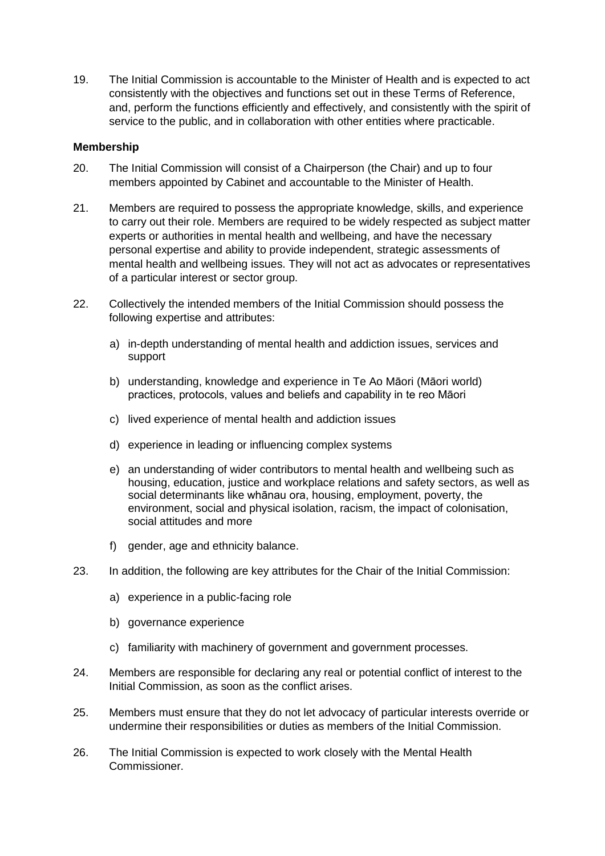19. The Initial Commission is accountable to the Minister of Health and is expected to act consistently with the objectives and functions set out in these Terms of Reference, and, perform the functions efficiently and effectively, and consistently with the spirit of service to the public, and in collaboration with other entities where practicable.

# **Membership**

- 20. The Initial Commission will consist of a Chairperson (the Chair) and up to four members appointed by Cabinet and accountable to the Minister of Health.
- 21. Members are required to possess the appropriate knowledge, skills, and experience to carry out their role. Members are required to be widely respected as subject matter experts or authorities in mental health and wellbeing, and have the necessary personal expertise and ability to provide independent, strategic assessments of mental health and wellbeing issues. They will not act as advocates or representatives of a particular interest or sector group.
- 22. Collectively the intended members of the Initial Commission should possess the following expertise and attributes:
	- a) in-depth understanding of mental health and addiction issues, services and support
	- b) understanding, knowledge and experience in Te Ao Māori (Māori world) practices, protocols, values and beliefs and capability in te reo Māori
	- c) lived experience of mental health and addiction issues
	- d) experience in leading or influencing complex systems
	- e) an understanding of wider contributors to mental health and wellbeing such as housing, education, justice and workplace relations and safety sectors, as well as social determinants like whānau ora, housing, employment, poverty, the environment, social and physical isolation, racism, the impact of colonisation, social attitudes and more
	- f) gender, age and ethnicity balance.
- 23. In addition, the following are key attributes for the Chair of the Initial Commission:
	- a) experience in a public-facing role
	- b) governance experience
	- c) familiarity with machinery of government and government processes.
- 24. Members are responsible for declaring any real or potential conflict of interest to the Initial Commission, as soon as the conflict arises.
- 25. Members must ensure that they do not let advocacy of particular interests override or undermine their responsibilities or duties as members of the Initial Commission.
- 26. The Initial Commission is expected to work closely with the Mental Health Commissioner.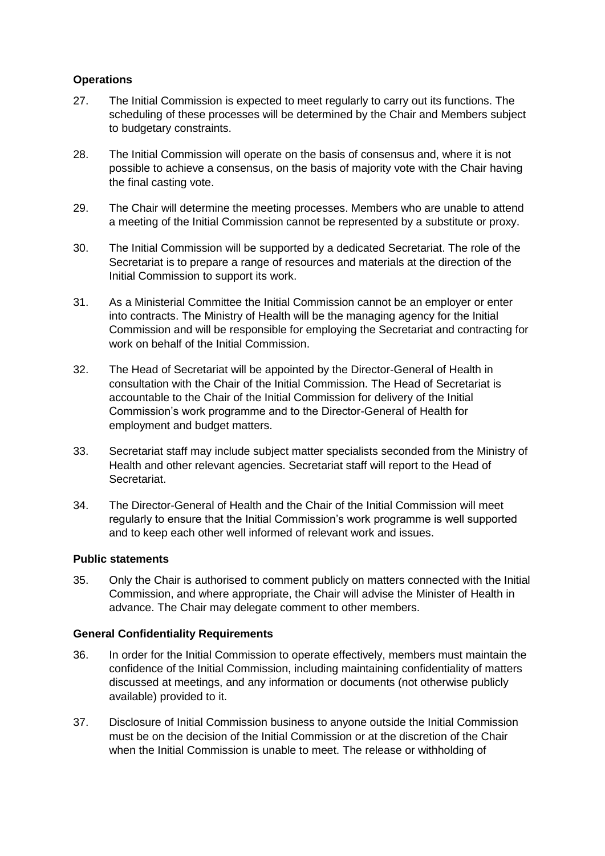# **Operations**

- 27. The Initial Commission is expected to meet regularly to carry out its functions. The scheduling of these processes will be determined by the Chair and Members subject to budgetary constraints.
- 28. The Initial Commission will operate on the basis of consensus and, where it is not possible to achieve a consensus, on the basis of majority vote with the Chair having the final casting vote.
- 29. The Chair will determine the meeting processes. Members who are unable to attend a meeting of the Initial Commission cannot be represented by a substitute or proxy.
- 30. The Initial Commission will be supported by a dedicated Secretariat. The role of the Secretariat is to prepare a range of resources and materials at the direction of the Initial Commission to support its work.
- 31. As a Ministerial Committee the Initial Commission cannot be an employer or enter into contracts. The Ministry of Health will be the managing agency for the Initial Commission and will be responsible for employing the Secretariat and contracting for work on behalf of the Initial Commission.
- 32. The Head of Secretariat will be appointed by the Director-General of Health in consultation with the Chair of the Initial Commission. The Head of Secretariat is accountable to the Chair of the Initial Commission for delivery of the Initial Commission's work programme and to the Director-General of Health for employment and budget matters.
- 33. Secretariat staff may include subject matter specialists seconded from the Ministry of Health and other relevant agencies. Secretariat staff will report to the Head of Secretariat.
- 34. The Director-General of Health and the Chair of the Initial Commission will meet regularly to ensure that the Initial Commission's work programme is well supported and to keep each other well informed of relevant work and issues.

# **Public statements**

35. Only the Chair is authorised to comment publicly on matters connected with the Initial Commission, and where appropriate, the Chair will advise the Minister of Health in advance. The Chair may delegate comment to other members.

# **General Confidentiality Requirements**

- 36. In order for the Initial Commission to operate effectively, members must maintain the confidence of the Initial Commission, including maintaining confidentiality of matters discussed at meetings, and any information or documents (not otherwise publicly available) provided to it.
- 37. Disclosure of Initial Commission business to anyone outside the Initial Commission must be on the decision of the Initial Commission or at the discretion of the Chair when the Initial Commission is unable to meet. The release or withholding of